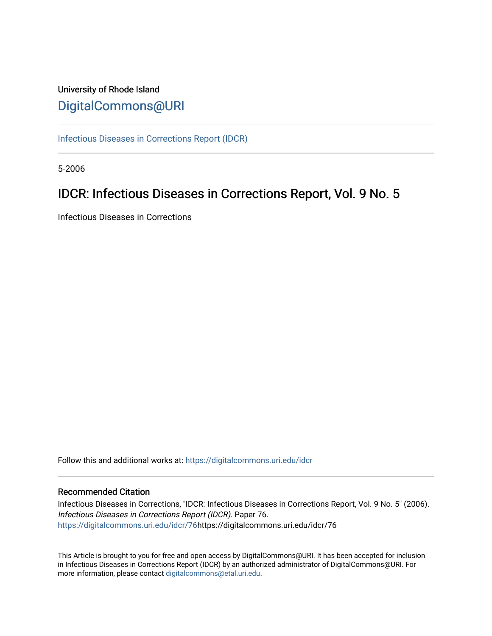# University of Rhode Island [DigitalCommons@URI](https://digitalcommons.uri.edu/)

[Infectious Diseases in Corrections Report \(IDCR\)](https://digitalcommons.uri.edu/idcr)

5-2006

# IDCR: Infectious Diseases in Corrections Report, Vol. 9 No. 5

Infectious Diseases in Corrections

Follow this and additional works at: [https://digitalcommons.uri.edu/idcr](https://digitalcommons.uri.edu/idcr?utm_source=digitalcommons.uri.edu%2Fidcr%2F76&utm_medium=PDF&utm_campaign=PDFCoverPages)

#### Recommended Citation

Infectious Diseases in Corrections, "IDCR: Infectious Diseases in Corrections Report, Vol. 9 No. 5" (2006). Infectious Diseases in Corrections Report (IDCR). Paper 76. [https://digitalcommons.uri.edu/idcr/76h](https://digitalcommons.uri.edu/idcr/76?utm_source=digitalcommons.uri.edu%2Fidcr%2F76&utm_medium=PDF&utm_campaign=PDFCoverPages)ttps://digitalcommons.uri.edu/idcr/76

This Article is brought to you for free and open access by DigitalCommons@URI. It has been accepted for inclusion in Infectious Diseases in Corrections Report (IDCR) by an authorized administrator of DigitalCommons@URI. For more information, please contact [digitalcommons@etal.uri.edu.](mailto:digitalcommons@etal.uri.edu)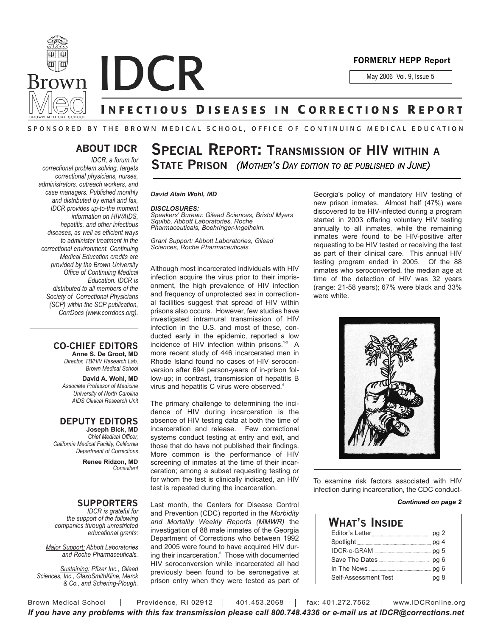

**Brown IDCR** 

May 2006 Vol. 9, Issue 5

### NFECTIOUS DISEASES IN CORRECTIONS REPORT

#### SPONSORED BY THE BROWN MEDICAL SCHOOL, OFFICE OF CONTINUING MEDICAL EDUCATION

### **ABOUT IDCR**

*IDCR, a forum for correctional problem solving, targets correctional physicians, nurses, administrators, outreach workers, and case managers. Published monthly and distributed by email and fax, IDCR provides up-to-the moment information on HIV/AIDS, hepatitis, and other infectious diseases, as well as efficient ways to administer treatment in the correctional environment. Continuing Medical Education credits are provided by the Brown University Office of Continuing Medical Education. IDCR is distributed to all members of the Society of Correctional Physicians (SCP) within the SCP publication, CorrDocs (www.corrdocs.org).*

#### **CO-CHIEF EDITORS Anne S. De Groot, MD**

*Director, TB/HIV Research Lab, Brown Medical School*

**David A. Wohl, MD** *Associate Professor of Medicine University of North Carolina AIDS Clinical Research Unit*

#### **DEPUTY EDITORS Joseph Bick, MD**

*Chief Medical Officer, California Medical Facility, California Department of Corrections*

**Renee Ridzon, MD** *Consultant*

#### **SUPPORTERS**

*IDCR is grateful for the support of the following companies through unrestricted educational grants:*

*Major Support: Abbott Laboratories and Roche Pharmaceuticals.* 

*Sustaining: Pfizer Inc., Gilead Sciences, Inc., GlaxoSmithKline, Merck & Co., and Schering-Plough.*

# **SPECIAL REPORT: TRANSMISSION OF HIV WITHIN A STATE PRISON** *(MOTHER'S DAY EDITION TO BE PUBLISHED IN JUNE)*

#### *David Alain Wohl, MD*

#### *DISCLOSURES:*

*Speakers' Bureau: Gilead Sciences, Bristol Myers Squibb, Abbott Laboratories, Roche Pharmaceuticals, Boehringer-Ingelheim.* 

*Grant Support: Abbott Laboratories, Gilead Sciences, Roche Pharmaceuticals.* 

Although most incarcerated individuals with HIV infection acquire the virus prior to their imprisonment, the high prevalence of HIV infection and frequency of unprotected sex in correctional facilities suggest that spread of HIV within prisons also occurs. However, few studies have investigated intramural transmission of HIV infection in the U.S. and most of these, conducted early in the epidemic, reported a low incidence of HIV infection within prisons.<sup>1-3</sup> A more recent study of 446 incarcerated men in Rhode Island found no cases of HIV seroconversion after 694 person-years of in-prison follow-up; in contrast, transmission of hepatitis B virus and hepatitis C virus were observed.<sup>4</sup>

The primary challenge to determining the incidence of HIV during incarceration is the absence of HIV testing data at both the time of incarceration and release. Few correctional systems conduct testing at entry and exit, and those that do have not published their findings. More common is the performance of HIV screening of inmates at the time of their incarceration; among a subset requesting testing or for whom the test is clinically indicated, an HIV test is repeated during the incarceration.

Last month, the Centers for Disease Control and Prevention (CDC) reported in the *Morbidity and Mortality Weekly Reports (MMWR)* the investigation of 88 male inmates of the Georgia Department of Corrections who between 1992 and 2005 were found to have acquired HIV during their incarceration.<sup>5</sup> Those with documented HIV seroconversion while incarcerated all had previously been found to be seronegative at prison entry when they were tested as part of

Georgia's policy of mandatory HIV testing of new prison inmates. Almost half (47%) were discovered to be HIV-infected during a program started in 2003 offering voluntary HIV testing annually to all inmates, while the remaining inmates were found to be HIV-positive after requesting to be HIV tested or receiving the test as part of their clinical care. This annual HIV testing program ended in 2005. Of the 88 inmates who seroconverted, the median age at time of the detection of HIV was 32 years (range: 21-58 years); 67% were black and 33% were white.



To examine risk factors associated with HIV infection during incarceration, the CDC conduct-

#### *Continued on page 2*

| What's Inside                                                                                         |  |
|-------------------------------------------------------------------------------------------------------|--|
| Editor's Letter                                                                                       |  |
| Spotlight Manual District Product Product Product Product Product Product Product Product Product Pro |  |
|                                                                                                       |  |
|                                                                                                       |  |
|                                                                                                       |  |
|                                                                                                       |  |

Brown Medical School | Providence, RI 02912 | 401.453.2068 | fax: 401.272.7562 | www.IDCRonline.org *If you have any problems with this fax transmission please call 800.748.4336 or e-mail us at IDCR@corrections.net*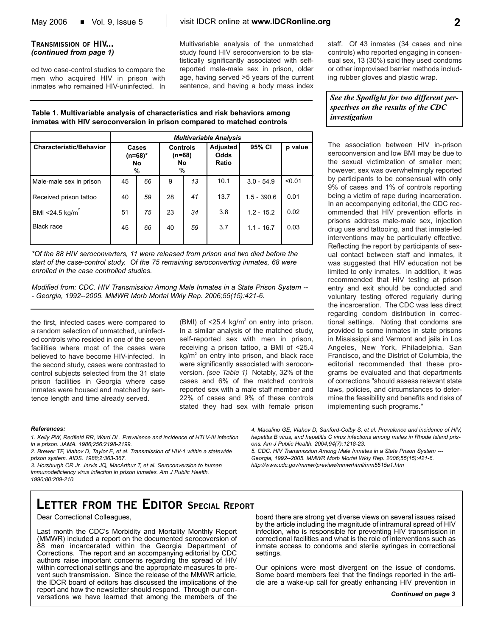#### **TRANSMISSION OF HIV...** *(continued from page 1)*

ed two case-control studies to compare the men who acquired HIV in prison with inmates who remained HIV-uninfected. In Multivariable analysis of the unmatched study found HIV seroconversion to be statistically significantly associated with selfreported male-male sex in prison, older age, having served >5 years of the current sentence, and having a body mass index staff. Of 43 inmates (34 cases and nine controls) who reported engaging in consensual sex, 13 (30%) said they used condoms or other improvised barrier methods including rubber gloves and plastic wrap.

*See the Spotlight for two different perspectives on the results of the CDC investigation*

The association between HIV in-prison seroconversion and low BMI may be due to the sexual victimization of smaller men; however, sex was overwhelmingly reported by participants to be consensual with only 9% of cases and 1% of controls reporting being a victim of rape during incarceration. In an accompanying editorial, the CDC recommended that HIV prevention efforts in prisons address male-male sex, injection drug use and tattooing, and that inmate-led interventions may be particularly effective. Reflecting the report by participants of sexual contact between staff and inmates, it was suggested that HIV education not be limited to only inmates. In addition, it was recommended that HIV testing at prison entry and exit should be conducted and voluntary testing offered regularly during the incarceration. The CDC was less direct regarding condom distribution in correctional settings. Noting that condoms are provided to some inmates in state prisons in Mississippi and Vermont and jails in Los Angeles, New York, Philadelphia, San Francisco, and the District of Columbia, the editorial recommended that these programs be evaluated and that departments of corrections "should assess relevant state laws, policies, and circumstances to determine the feasibility and benefits and risks of implementing such programs."

#### **Table 1. Multivariable analysis of characteristics and risk behaviors among inmates with HIV seroconversion in prison compared to matched controls**

|                                | <b>Multivariable Analysis</b>      |    |                                        |    |                           |               |         |
|--------------------------------|------------------------------------|----|----------------------------------------|----|---------------------------|---------------|---------|
| <b>Characteristic/Behavior</b> | Cases<br>(n=68)*<br><b>No</b><br>% |    | <b>Controls</b><br>$(n=68)$<br>No<br>% |    | Adjusted<br>Odds<br>Ratio | 95% CI        | p value |
| Male-male sex in prison        | 45                                 | 66 | 9                                      | 13 | 10.1                      | $3.0 - 54.9$  | < 0.01  |
| Received prison tattoo         | 40                                 | 59 | 28                                     | 41 | 13.7                      | $1.5 - 390.6$ | 0.01    |
| BMI <24.5 kg/ $m^2$            | 51                                 | 75 | 23                                     | 34 | 3.8                       | $1.2 - 15.2$  | 0.02    |
| Black race                     | 45                                 | 66 | 40                                     | 59 | 3.7                       | $1.1 - 16.7$  | 0.03    |

*\*Of the 88 HIV seroconverters, 11 were released from prison and two died before the start of the case-control study. Of the 75 remaining seroconverting inmates, 68 were enrolled in the case controlled studies.* 

*Modified from: CDC. HIV Transmission Among Male Inmates in a State Prison System -- - Georgia, 1992--2005. MMWR Morb Mortal Wkly Rep. 2006;55(15):421-6.*

the first, infected cases were compared to a random selection of unmatched, uninfected controls who resided in one of the seven facilities where most of the cases were believed to have become HIV-infected. In the second study, cases were contrasted to control subjects selected from the 31 state prison facilities in Georgia where case inmates were housed and matched by sentence length and time already served.

(BMI) of  $\leq$ 25.4 kg/m<sup>2</sup> on entry into prison. In a similar analysis of the matched study, self-reported sex with men in prison, receiving a prison tattoo, a BMI of <25.4  $kg/m<sup>2</sup>$  on entry into prison, and black race were significantly associated with seroconversion. *(see Table 1)* Notably, 32% of the cases and 6% of the matched controls reported sex with a male staff member and 22% of cases and 9% of these controls stated they had sex with female prison

#### *References:*

- *1. Kelly PW, Redfield RR, Ward DL. Prevalence and incidence of HTLV-III infection in a prison. JAMA. 1986;256:2198-2199.*
- *2. Brewer TF, Vlahov D, Taylor E, et al. Transmission of HIV-1 within a statewide prison system. AIDS. 1988;2:363-367.*

*3. Horsburgh CR Jr, Jarvis JQ, MacArthur T, et al. Seroconversion to human immunodeficiency virus infection in prison inmates. Am J Public Health. 1990;80:209-210.*

# **LETTER FROM THE EDITOR SPECIAL REPORT**

Dear Correctional Colleagues,

Last month the CDC's Morbidity and Mortality Monthly Report (MMWR) included a report on the documented serocoversion of 88 men incarcerated within the Georgia Department of Corrections. The report and an accompanying editorial by CDC authors raise important concerns regarding the spread of HIV within correctional settings and the appropriate measures to prevent such transmission. Since the release of the MMWR article, the IDCR board of editors has discussed the implications of the report and how the newsletter should respond. Through our conversations we have learned that among the members of the

*4. Macalino GE, Vlahov D, Sanford-Colby S, et al. Prevalence and incidence of HIV, hepatitis B virus, and hepatitis C virus infections among males in Rhode Island prisons. Am J Public Health. 2004;94(7):1218-23. 5. CDC. HIV Transmission Among Male Inmates in a State Prison System ---*

*Georgia, 1992--2005. MMWR Morb Mortal Wkly Rep. 2006;55(15):421-6. http://www.cdc.gov/mmwr/preview/mmwrhtml/mm5515a1.htm*

board there are strong yet diverse views on several issues raised by the article including the magnitude of intramural spread of HIV infection, who is responsible for preventing HIV transmission in correctional facilities and what is the role of interventions such as inmate access to condoms and sterile syringes in correctional settings.

Our opinions were most divergent on the issue of condoms. Some board members feel that the findings reported in the article are a wake-up call for greatly enhancing HIV prevention in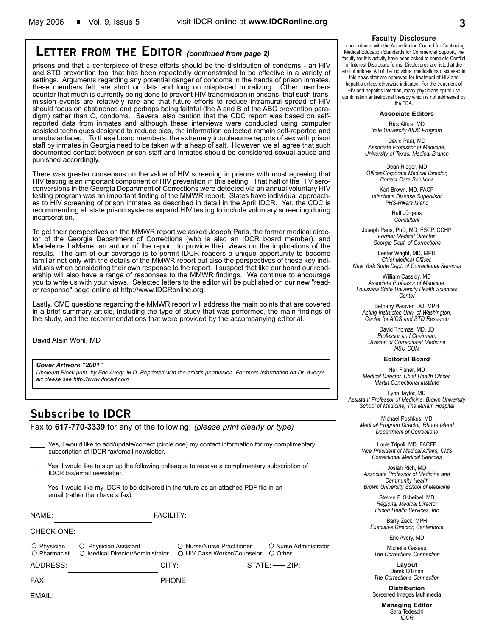### **LETTER FROM THE EDITOR** *(continued from page 2)*

prisons and that a centerpiece of these efforts should be the distribution of condoms - an HIV and STD prevention tool that has been repeatedly demonstrated to be effective in a variety of settings. Arguments regarding any potential danger of condoms in the hands of prison inmates, these members felt, are short on data and long on misplaced moralizing. Other members counter that much is currently being done to prevent HIV transmission in prisons, that such transmission events are relatively rare and that future efforts to reduce intramural spread of HIV should focus on abstinence and perhaps being faithful (the A and B of the ABC prevention paradigm) rather than C, condoms. Several also caution that the CDC report was based on selfreported data from inmates and although these interviews were conducted using computer assisted techniques designed to reduce bias, the information collected remain self-reported and unsubstantiated. To these board members, the extremely troublesome reports of sex with prison staff by inmates in Georgia need to be taken with a heap of salt. However, we all agree that such documented contact between prison staff and inmates should be considered sexual abuse and punished accordingly.

There was greater consensus on the value of HIV screening in prisons with most agreeing that HIV testing is an important component of HIV prevention in this setting. That half of the HIV seroconversions in the Georgia Department of Corrections were detected via an annual voluntary HIV testing program was an important finding of the MMWR report. States have individual approaches to HIV screening of prison inmates as described in detail in the April IDCR. Yet, the CDC is recommending all state prison systems expand HIV testing to include voluntary screening during incarceration.

To get their perspectives on the MMWR report we asked Joseph Paris, the former medical director of the Georgia Department of Corrections (who is also an IDCR board member), and Madeleine LaMarre, an author of the report, to provide their views on the implications of the results. The aim of our coverage is to permit IDCR readers a unique opportunity to become familiar not only with the details of the MMWR report but also the perspectives of these key individuals when considering their own response to the report. I suspect that like our board our readership will also have a range of responses to the MMWR findings. We continue to encourage you to write us with your views. Selected letters to the editor will be published on our new "reader response" page online at http://www.IDCRonline.org.

Lastly, CME questions regarding the MMWR report will address the main points that are covered in a brief summary article, including the type of study that was performed, the main findings of the study, and the recommendations that were provided by the accompanying editorial.

David Alain Wohl, MD

*Cover Artwork "2001"*

*Linoleum Block print by Eric Avery. M.D. Reprinted with the artist's permission. For more information on Dr. Avery's art please see http://www.docart.com*

### **Subscribe to IDCR**

Fax to **617-770-3339** for any of the following: *(please print clearly or type)*

Yes, I would like to add/update/correct (circle one) my contact information for my complimentary subscription of IDCR fax/email newsletter.

Yes, I would like to sign up the following colleague to receive a complimentary subscription of IDCR fax/email newsletter.

Yes, I would like my IDCR to be delivered in the future as an attached PDF file in an email (rather than have a fax).

| NAME:                       | <b>FACILITY:</b>                                          |                                                           |                                           |
|-----------------------------|-----------------------------------------------------------|-----------------------------------------------------------|-------------------------------------------|
| <b>CHECK ONE:</b>           |                                                           |                                                           |                                           |
| O Physician<br>◯ Pharmacist | O Physician Assistant<br>○ Medical Director/Administrator | ○ Nurse/Nurse Practitioner<br>○ HIV Case Worker/Counselor | O Nurse Administrator<br>$\bigcirc$ Other |
| ADDRESS:                    | CITY:                                                     |                                                           | $STATE:$ $ZIP:$                           |
| FAX:                        |                                                           | <b>PHONE:</b>                                             |                                           |
| FMAIL:                      |                                                           |                                                           |                                           |

#### **Faculty Disclosure**

In accordance with the Accreditation Council for Continuing Medical Education Standards for Commercial Support, the faculty for this activity have been asked to complete Conflict of Interest Disclosure forms. Disclosures are listed at the end of articles. All of the individual medications discussed in

this newsletter are approved for treatment of HIV and hepatitis unless otherwise indicated. For the treatment of HIV and hepatitis infection, many physicians opt to use combination antiretroviral therapy which is not addressed by the FDA.

#### **Associate Editors**

Rick Altice, MD *Yale University AIDS Program*

David Paar, MD *Associate Professor of Medicine, University of Texas, Medical Branch*

Dean Rieger, MD *Officer/Corporate Medical Director, Correct Care Solutions*

Karl Brown, MD, FACP *Infectious Disease Supervisor PHS-Rikers Island*

> Ralf Jürgens *Consultant*

Joseph Paris, PhD, MD, FSCP, CCHP *Former Medical Director, Georgia Dept. of Corrections*

Lester Wright, MD, MPH *Chief Medical Officer, New York State Dept. of Correctional Services*

William Cassidy, MD *Associate Professor of Medicine, Louisiana State University Health Sciences Center*

Bethany Weaver, DO, MPH *Acting Instructor, Univ. of Washington, Center for AIDS and STD Research*

David Thomas, MD, JD *Professor and Chairman, Division of Correctional Medicine NSU-COM*

#### **Editorial Board**

Neil Fisher, MD *Medical Director, Chief Health Officer, Martin Correctional Institute*

Lynn Taylor, MD *Assistant Professor of Medicine, Brown University School of Medicine, The Miriam Hospital*

> Michael Poshkus, MD *Medical Program Director, Rhode Island Department of Corrections*

Louis Tripoli, MD, FACFE *Vice President of Medical Affairs, CMS Correctional Medical Services*

Josiah Rich, MD *Associate Professor of Medicine and Community Health Brown University School of Medicine*

> Steven F. Scheibel, MD *Regional Medical Director Prison Health Services, Inc*

Barry Zack, MPH *Executive Director, Centerforce*

Eric Avery, MD

Michelle Gaseau *The Corrections Connection*

**Layout** Derek O'Brien *The Corrections Connection*

**Distribution** Screened Images Multimedia

> **Managing Editor** Sara Tedeschi *IDCR*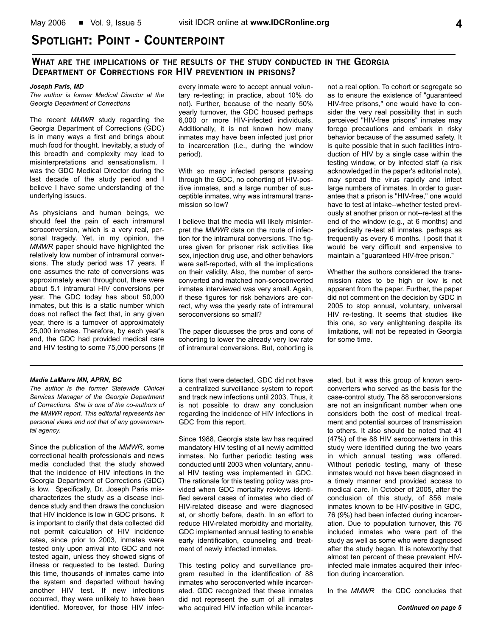### **SPOTLIGHT: POINT - COUNTERPOINT**

#### **WHAT ARE THE IMPLICATIONS OF THE RESULTS OF THE STUDY CONDUCTED IN THE GEORGIA DEPARTMENT OF CORRECTIONS FOR HIV PREVENTION IN PRISONS?**

#### *Joseph Paris, MD*

*The author is former Medical Director at the Georgia Department of Corrections*

The recent *MMWR* study regarding the Georgia Department of Corrections (GDC) is in many ways a first and brings about much food for thought. Inevitably, a study of this breadth and complexity may lead to misinterpretations and sensationalism. I was the GDC Medical Director during the last decade of the study period and I believe I have some understanding of the underlying issues.

As physicians and human beings, we should feel the pain of each intramural seroconversion, which is a very real, personal tragedy. Yet, in my opinion, the *MMWR* paper should have highlighted the relatively low number of intramural conversions. The study period was 17 years. If one assumes the rate of conversions was approximately even throughout, there were about 5.1 intramural HIV conversions per year. The GDC today has about 50,000 inmates, but this is a static number which does not reflect the fact that, in any given year, there is a turnover of approximately 25,000 inmates. Therefore, by each year's end, the GDC had provided medical care and HIV testing to some 75,000 persons (if every inmate were to accept annual voluntary re-testing; in practice, about 10% do not). Further, because of the nearly 50% yearly turnover, the GDC housed perhaps 6,000 or more HIV-infected individuals. Additionally, it is not known how many inmates may have been infected just prior to incarceration (i.e., during the window period).

With so many infected persons passing through the GDC, no cohorting of HIV-positive inmates, and a large number of susceptible inmates, why was intramural transmission so low?

I believe that the media will likely misinterpret the *MMWR* data on the route of infection for the intramural conversions. The figures given for prisoner risk activities like sex, injection drug use, and other behaviors were self-reported, with all the implications on their validity. Also, the number of seroconverted and matched non-seroconverted inmates interviewed was very small. Again, if these figures for risk behaviors are correct, why was the yearly rate of intramural seroconversions so small?

The paper discusses the pros and cons of cohorting to lower the already very low rate of intramural conversions. But, cohorting is not a real option. To cohort or segregate so as to ensure the existence of "guaranteed HIV-free prisons," one would have to consider the very real possibility that in such perceived "HIV-free prisons" inmates may forego precautions and embark in risky behavior because of the assumed safety. It is quite possible that in such facilities introduction of HIV by a single case within the testing window, or by infected staff (a risk acknowledged in the paper's editorial note), may spread the virus rapidly and infect large numbers of inmates. In order to guarantee that a prison is "HIV-free," one would have to test at intake--whether tested previously at another prison or not--re-test at the end of the window (e.g., at 6 months) and periodically re-test all inmates, perhaps as frequently as every 6 months. I posit that it would be very difficult and expensive to maintain a "guaranteed HIV-free prison."

Whether the authors considered the transmission rates to be high or low is not apparent from the paper. Further, the paper did not comment on the decision by GDC in 2005 to stop annual, voluntary, universal HIV re-testing. It seems that studies like this one, so very enlightening despite its limitations, will not be repeated in Georgia for some time.

#### *Madie LaMarre MN, APRN, BC*

*The author is the former Statewide Clinical Services Manager of the Georgia Department of Corrections. She is one of the co-authors of the MMWR report. This editorial represents her personal views and not that of any governmental agency.*

Since the publication of the *MMWR*, some correctional health professionals and news media concluded that the study showed that the incidence of HIV infections in the Georgia Department of Corrections (GDC) is low. Specifically, Dr. Joseph Paris mischaracterizes the study as a disease incidence study and then draws the conclusion that HIV incidence is low in GDC prisons. It is important to clarify that data collected did not permit calculation of HIV incidence rates, since prior to 2003, inmates were tested only upon arrival into GDC and not tested again, unless they showed signs of illness or requested to be tested. During this time, thousands of inmates came into the system and departed without having another HIV test. If new infections occurred, they were unlikely to have been identified. Moreover, for those HIV infections that were detected, GDC did not have a centralized surveillance system to report and track new infections until 2003. Thus, it is not possible to draw any conclusion regarding the incidence of HIV infections in GDC from this report.

Since 1988, Georgia state law has required mandatory HIV testing of all newly admitted inmates. No further periodic testing was conducted until 2003 when voluntary, annual HIV testing was implemented in GDC. The rationale for this testing policy was provided when GDC mortality reviews identified several cases of inmates who died of HIV-related disease and were diagnosed at, or shortly before, death. In an effort to reduce HIV-related morbidity and mortality, GDC implemented annual testing to enable early identification, counseling and treatment of newly infected inmates.

This testing policy and surveillance program resulted in the identification of 88 inmates who seroconverted while incarcerated. GDC recognized that these inmates did not represent the sum of all inmates who acquired HIV infection while incarcer-

ated, but it was this group of known seroconverters who served as the basis for the case-control study. The 88 seroconversions are not an insignificant number when one considers both the cost of medical treatment and potential sources of transmission to others. It also should be noted that 41 (47%) of the 88 HIV seroconverters in this study were identified during the two years in which annual testing was offered. Without periodic testing, many of these inmates would not have been diagnosed in a timely manner and provided access to medical care. In October of 2005, after the conclusion of this study, of 856 male inmates known to be HIV-positive in GDC, 76 (9%) had been infected during incarceration. Due to population turnover, this 76 included inmates who were part of the study as well as some who were diagnosed after the study began. It is noteworthy that almost ten percent of these prevalent HIVinfected male inmates acquired their infection during incarceration.

In the *MMWR* the CDC concludes that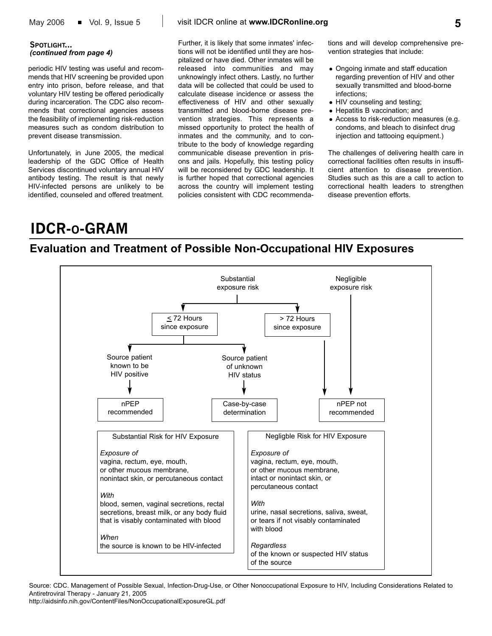#### **SPOTLIGHT...** *(continued from page 4)*

periodic HIV testing was useful and recommends that HIV screening be provided upon entry into prison, before release, and that voluntary HIV testing be offered periodically during incarceration. The CDC also recommends that correctional agencies assess the feasibility of implementing risk-reduction measures such as condom distribution to prevent disease transmission.

Unfortunately, in June 2005, the medical leadership of the GDC Office of Health Services discontinued voluntary annual HIV antibody testing. The result is that newly HIV-infected persons are unlikely to be identified, counseled and offered treatment.

Further, it is likely that some inmates' infections will not be identified until they are hospitalized or have died. Other inmates will be released into communities and may unknowingly infect others. Lastly, no further data will be collected that could be used to calculate disease incidence or assess the effectiveness of HIV and other sexually transmitted and blood-borne disease prevention strategies. This represents a missed opportunity to protect the health of inmates and the community, and to contribute to the body of knowledge regarding communicable disease prevention in prisons and jails. Hopefully, this testing policy will be reconsidered by GDC leadership. It is further hoped that correctional agencies across the country will implement testing policies consistent with CDC recommendations and will develop comprehensive prevention strategies that include:

- Ongoing inmate and staff education regarding prevention of HIV and other sexually transmitted and blood-borne infections;
- HIV counseling and testing;
- Hepatitis B vaccination; and
- Access to risk-reduction measures (e.g. condoms, and bleach to disinfect drug injection and tattooing equipment.)

The challenges of delivering health care in correctional facilities often results in insufficient attention to disease prevention. Studies such as this are a call to action to correctional health leaders to strengthen disease prevention efforts.

# **IDCR-O-GRAM**

### **Evaluation and Treatment of Possible Non-Occupational HIV Exposures**



Source: CDC. Management of Possible Sexual, Infection-Drug-Use, or Other Nonoccupational Exposure to HIV, Including Considerations Related to Antiretroviral Therapy - January 21, 2005

http://aidsinfo.nih.gov/ContentFiles/NonOccupationalExposureGL.pdf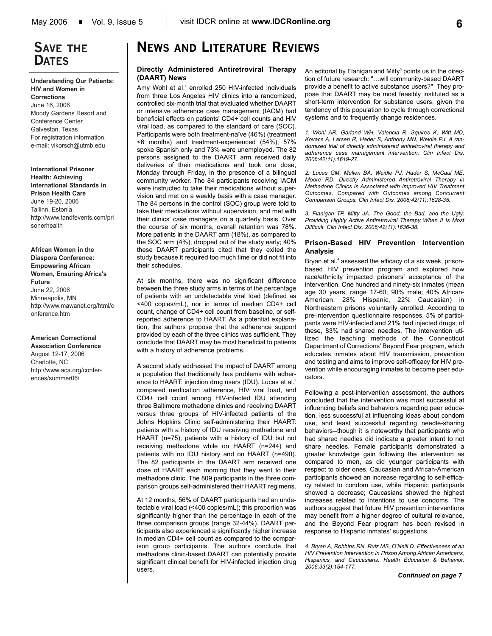### **SAVE THE DATES**

#### **Understanding Our Patients: HIV and Women in Corrections**

June 16, 2006 Moody Gardens Resort and Conference Center Galveston, Texas For registration information, e-mail: vikorsch@utmb.edu

**International Prisoner Health: Achieving International Standards in Prison Health Care** June 19-20, 2006 Tallinn, Estonia http://www.tandfevents.com/pri sonerhealth

**African Women in the Diaspora Conference: Empowering African Women, Ensuring Africa's Future**  June 22, 2006 Minneapolis, MN http://www.mawanet.org/html/c onference.htm

#### **American Correctional**

**Association Conference** August 12-17, 2006 Charlotte, NC http://www.aca.org/conferences/summer06/

# **NEWS AND LITERATURE REVIEWS**

#### **Directly Administered Antiretroviral Therapy (DAART) News**

Amy Wohl et al.<sup>1</sup> enrolled 250 HIV-infected individuals from three Los Angeles HIV clinics into a randomized, controlled six-month trial that evaluated whether DAART or intensive adherence case management (IACM) had beneficial effects on patients' CD4+ cell counts and HIV viral load, as compared to the standard of care (SOC). Participants were both treatment-naïve (46%) (treatment <6 months) and treatment-experienced (54%); 57% spoke Spanish only and 73% were unemployed. The 82 persons assigned to the DAART arm received daily deliveries of their medications and took one dose, Monday through Friday, in the presence of a bilingual community worker. The 84 participants receiving IACM were instructed to take their medications without supervision and met on a weekly basis with a case manager. The 84 persons in the control (SOC) group were told to take their medications without supervision, and met with their clinics' case managers on a quarterly basis. Over the course of six months, overall retention was 78%. More patients in the DAART arm (18%), as compared to the SOC arm (4%), dropped out of the study early; 40% these DAART participants cited that they exited the study because it required too much time or did not fit into their schedules.

At six months, there was no significant difference between the three study arms in terms of the percentage of patients with an undetectable viral load (defined as <400 copies/mL), nor in terms of median CD4+ cell count, change of CD4+ cell count from baseline, or selfreported adherence to HAART. As a potential explanation, the authors propose that the adherence support provided by each of the three clinics was sufficient. They conclude that DAART may be most beneficial to patients with a history of adherence problems.

A second study addressed the impact of DAART among a population that traditionally has problems with adherence to HAART: injection drug users (IDU). Lucas et al.<sup>2</sup> compared medication adherence, HIV viral load, and CD4+ cell count among HIV-infected IDU attending three Baltimore methadone clinics and receiving DAART versus three groups of HIV-infected patients of the Johns Hopkins Clinic self-administering their HAART: patients with a history of IDU receiving methadone and HAART (n=75), patients with a history of IDU but not receiving methadone while on HAART (n=244) and patients with no IDU history and on HAART (n=490). The 82 participants in the DAART arm received one dose of HAART each morning that they went to their methadone clinic. The 809 participants in the three comparison groups self-administered their HAART regimens.

At 12 months, 56% of DAART participants had an undetectable viral load (<400 copies/mL); this proportion was significantly higher than the percentage in each of the three comparison groups (range 32-44%). DAART participants also experienced a significantly higher increase in median CD4+ cell count as compared to the comparison group participants. The authors conclude that methadone clinic-based DAART can potentially provide significant clinical benefit for HIV-infected injection drug users.

An editorial by Flanigan and Mitty<sup>3</sup> points us in the direction of future research: "…will community-based DAART provide a benefit to active substance users?" They propose that DAART may be most feasibly instituted as a short-term intervention for substance users, given the tendency of this population to cycle through correctional systems and to frequently change residences.

*1. Wohl AR, Garland WH, Valencia R, Squires K, Witt MD, Kovacs A, Larsen R, Hader S, Anthony MN, Weidle PJ. A randomized trial of directly administered antiretroviral therapy and adherence case management intervention. Clin Infect Dis. 2006;42(11):1619-27.*

*2. Lucas GM, Mullen BA, Weidle PJ, Hader S, McCaul ME, Moore RD. Directly Administered Antiretroviral Therapy in Methadone Clinics Is Associated with Improved HIV Treatment Outcomes, Compared with Outcomes among Concurrent Comparison Groups. Clin Infect Dis. 2006;42(11):1628-35.*

*3. Flanigan TP, Mitty JA. The Good, the Bad, and the Ugly: Providing Highly Active Antiretroviral Therapy When It Is Most Difficult. Clin Infect Dis. 2006;42(11):1636-38.*

#### **Prison-Based HIV Prevention Intervention Analysis**

Bryan et al.<sup>4</sup> assessed the efficacy of a six week, prisonbased HIV prevention program and explored how race/ethnicity impacted prisoners' acceptance of the intervention. One hundred and ninety-six inmates (mean age 30 years, range 17-60; 90% male; 40% African-American, 28% Hispanic, 22% Caucasian) in Northeastern prisons voluntarily enrolled. According to pre-intervention questionnaire responses, 5% of participants were HIV-infected and 21% had injected drugs; of these, 83% had shared needles. The intervention utilized the teaching methods of the Connecticut Department of Corrections' Beyond Fear program, which educates inmates about HIV transmission, prevention and testing and aims to improve self-efficacy for HIV prevention while encouraging inmates to become peer educators.

Following a post-intervention assessment, the authors concluded that the intervention was most successful at influencing beliefs and behaviors regarding peer education, less successful at influencing ideas about condom use, and least successful regarding needle-sharing behaviors--though it is noteworthy that participants who had shared needles did indicate a greater intent to not share needles. Female participants demonstrated a greater knowledge gain following the intervention as compared to men, as did younger participants with respect to older ones. Caucasian and African-American participants showed an increase regarding to self-efficacy related to condom use, while Hispanic participants showed a decrease; Caucasians showed the highest increases related to intentions to use condoms. The authors suggest that future HIV prevention interventions may benefit from a higher degree of cultural relevance, and the Beyond Fear program has been revised in response to Hispanic inmates' suggestions.

*4. Bryan A, Robbins RN, Ruiz MS, O'Neill D. Effectiveness of an HIV Prevention Intervention in Prison Among African Americans, Hispanics, and Caucasians. Health Education & Behavior. 2006;33(2):154-177.*

*Continued on page 7*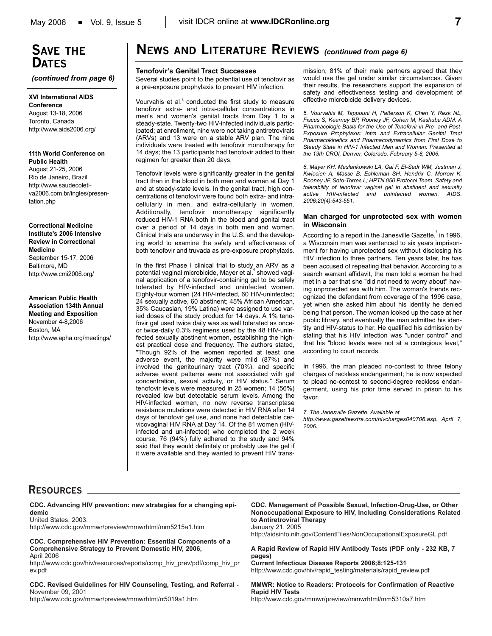# **SAVE THE DATES**

*(continued from page 6)*

**XVI International AIDS Conference** August 13-18, 2006 Toronto, Canada http://www.aids2006.org/

#### **11th World Conference on Public Health**

August 21-25, 2006 Rio de Janeiro, Brazil http://www.saudecoletiva2006.com.br/ingles/presentation.php

#### **Correctional Medicine Institute's 2006 Intensive Review in Correctional Medicine**

September 15-17, 2006 Baltimore, MD http://www.cmi2006.org/

#### **American Public Health Association 134th Annual Meeting and Exposition** November 4-8,2006 Boston, MA http://www.apha.org/meetings/

### **NEWS AND LITERATURE REVIEWS** *(continued from page 6)*

#### **Tenofovir's Genital Tract Successes**

Several studies point to the potential use of tenofovir as a pre-exposure prophylaxis to prevent HIV infection.

Vourvahis et al.<sup>5</sup> conducted the first study to measure tenofovir extra- and intra-cellular concentrations in men's and women's genital tracts from Day 1 to a steady-state. Twenty-two HIV-infected individuals participated; at enrollment, nine were not taking antiretrovirals (ARVs) and 13 were on a stable ARV plan. The nine individuals were treated with tenofovir monotherapy for 14 days; the 13 participants had tenofovir added to their regimen for greater than 20 days.

Tenofovir levels were significantly greater in the genital tract than in the blood in both men and women at Day 1 and at steady-state levels. In the genital tract, high concentrations of tenofovir were found both extra- and intracellularly in men, and extra-cellularly in women. Additionally, tenofovir monotherapy significantly reduced HIV-1 RNA both in the blood and genital tract over a period of 14 days in both men and women. Clinical trials are underway in the U.S. and the developing world to examine the safety and effectiveness of both tenofovir and truvada as pre-exposure prophylaxis.

In the first Phase I clinical trial to study an ARV as a potential vaginal microbicide, Mayer et al. Showed vaginal application of a tenofovir-containing gel to be safely tolerated by HIV-infected and uninfected women. Eighty-four women (24 HIV-infected, 60 HIV-uninfected; 24 sexually active, 60 abstinent; 45% African American, 35% Caucasian, 19% Latina) were assigned to use varied doses of the study product for 14 days. A 1% tenofovir gel used twice daily was as well tolerated as onceor twice-daily 0.3% regimens used by the 48 HIV-uninfected sexually abstinent women, establishing the highest practical dose and frequency. The authors stated, "Though 92% of the women reported at least one adverse event, the majority were mild (87%) and involved the genitourinary tract (70%), and specific adverse event patterns were not associated with gel concentration, sexual activity, or HIV status." Serum tenofovir levels were measured in 25 women; 14 (56%) revealed low but detectable serum levels. Among the HIV-infected women, no new reverse transcriptase resistance mutations were detected in HIV RNA after 14 days of tenofovir gel use, and none had detectable cervicovaginal HIV RNA at Day 14. Of the 81 women (HIVinfected and un-infected) who completed the 2 week course, 76 (94%) fully adhered to the study and 94% said that they would definitely or probably use the gel if it were available and they wanted to prevent HIV transmission; 81% of their male partners agreed that they would use the gel under similar circumstances. Given their results, the researchers support the expansion of safety and effectiveness testing and development of effective microbicide delivery devices.

*5. Vourvahis M, Tappouni H, Patterson K, Chen Y, Rezk NL, Fiscus S, Kearney BP, Rooney JF, Cohen M, Kashuba ADM. A Pharmacologic Basis for the Use of Tenofovir in Pre- and Post-Exposure Prophylaxis: Intra and Extracellular Genital Tract Pharmacokinetics and Pharmacodynamics from First Dose to Steady State in HIV-1 Infected Men and Women. Presented at the 13th CROI, Denver, Colorado. February 5-8, 2006.*

*6. Mayer KH, Maslankowski LA, Gai F, El-Sadr WM, Justman J, Kwiecien A, Masse B, Eshleman SH, Hendrix C, Morrow K, Rooney JF, Soto-Torres L; HPTN 050 Protocol Team. Safety and tolerability of tenofovir vaginal gel in abstinent and sexually active HIV-infected and uninfected women. AIDS. 2006;20(4):543-551.*

#### **Man charged for unprotected sex with women in Wisconsin**

According to a report in the Janesville Gazette,  $\overline{7}$  in 1996, a Wisconsin man was sentenced to six years imprisonment for having unprotected sex without disclosing his HIV infection to three partners. Ten years later, he has been accused of repeating that behavior. According to a search warrant affidavit, the man told a woman he had met in a bar that she "did not need to worry about" having unprotected sex with him. The woman's friends recognized the defendant from coverage of the 1996 case, yet when she asked him about his identity he denied being that person. The woman looked up the case at her public library, and eventually the man admitted his identity and HIV-status to her. He qualified his admission by stating that his HIV infection was "under control" and that his "blood levels were not at a contagious level," according to court records.

In 1996, the man pleaded no-contest to three felony charges of reckless endangerment; he is now expected to plead no-contest to second-degree reckless endangerment, using his prior time served in prison to his favor.

*7. The Janesville Gazette. Available at*

*http://www.gazetteextra.com/hivcharges040706.asp. April 7, 2006.*

### **RESOURCES**

**CDC. Advancing HIV prevention: new strategies for a changing epidemic**

United States, 2003. http://www.cdc.gov/mmwr/preview/mmwrhtml/mm5215a1.htm

**CDC. Comprehensive HIV Prevention: Essential Components of a Comprehensive Strategy to Prevent Domestic HIV, 2006,**  April 2006

http://www.cdc.gov/hiv/resources/reports/comp\_hiv\_prev/pdf/comp\_hiv\_pr ev.pdf

**CDC. Revised Guidelines for HIV Counseling, Testing, and Referral -** November 09, 2001

http://www.cdc.gov/mmwr/preview/mmwrhtml/rr5019a1.htm

#### **CDC. Management of Possible Sexual, Infection-Drug-Use, or Other Nonoccupational Exposure to HIV, Including Considerations Related to Antiretroviral Therapy** January 21, 2005

http://aidsinfo.nih.gov/ContentFiles/NonOccupationalExposureGL.pdf

**A Rapid Review of Rapid HIV Antibody Tests (PDF only - 232 KB, 7 pages)**

**Current Infectious Disease Reports 2006;8:125-131** http://www.cdc.gov/hiv/rapid\_testing/materials/rapid\_review.pdf

#### **MMWR: Notice to Readers: Protocols for Confirmation of Reactive Rapid HIV Tests**

http://www.cdc.gov/mmwr/preview/mmwrhtml/mm5310a7.htm